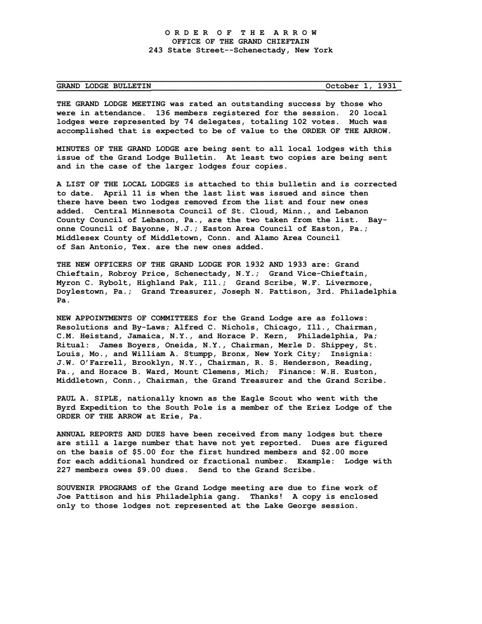## **GRAND LODGE BULLETIN\_\_\_\_\_\_\_\_\_\_\_\_\_\_\_\_\_\_\_\_\_\_\_\_\_\_\_\_\_\_\_\_\_\_\_\_\_October 1, 1931\_**

**THE GRAND LODGE MEETING was rated an outstanding success by those who were in attendance. 136 members registered for the session. 20 local lodges were represented by 74 delegates, totaling 102 votes. Much was accomplished that is expected to be of value to the ORDER OF THE ARROW.**

**\_\_\_\_\_\_\_\_\_\_\_\_\_\_\_\_\_\_\_\_\_\_\_\_\_\_\_\_\_\_\_\_\_\_\_\_\_\_\_\_\_\_\_\_\_\_\_\_\_\_\_\_\_\_\_\_\_\_\_\_\_\_\_\_\_\_\_\_\_\_\_\_\_**

**MINUTES OF THE GRAND LODGE are being sent to all local lodges with this issue of the Grand Lodge Bulletin. At least two copies are being sent and in the case of the larger lodges four copies.**

**A LIST OF THE LOCAL LODGES is attached to this bulletin and is corrected to date. April 11 is when the last list was issued and since then there have been two lodges removed from the list and four new ones added. Central Minnesota Council of St. Cloud, Minn., and Lebanon County Council of Lebanon, Pa., are the two taken from the list. Bayonne Council of Bayonne, N.J.; Easton Area Council of Easton, Pa.; Middlesex County of Middletown, Conn. and Alamo Area Council of San Antonio, Tex. are the new ones added.**

**THE NEW OFFICERS OF THE GRAND LODGE FOR 1932 AND 1933 are: Grand Chieftain, Robroy Price, Schenectady, N.Y.; Grand Vice-Chieftain, Myron C. Rybolt, Highland Pak, Ill.; Grand Scribe, W.F. Livermore, Doylestown, Pa.; Grand Treasurer, Joseph N. Pattison, 3rd. Philadelphia Pa.**

**NEW APPOINTMENTS OF COMMITTEES for the Grand Lodge are as follows: Resolutions and By-Laws; Alfred C. Nichols, Chicago, Ill., Chairman, C.M. Heistand, Jamaica, N.Y., and Horace P. Kern, Philadelphia, Pa; Ritual: James Boyers, Oneida, N.Y., Chairman, Merle D. Shippey, St. Louis, Mo., and William A. Stumpp, Bronx, New York City; Insignia: J.W. O'Farrell, Brooklyn, N.Y., Chairman, R. S. Henderson, Reading, Pa., and Horace B. Ward, Mount Clemens, Mich; Finance: W.H. Euston, Middletown, Conn., Chairman, the Grand Treasurer and the Grand Scribe.**

**PAUL A. SIPLE, nationally known as the Eagle Scout who went with the Byrd Expedition to the South Pole is a member of the Eriez Lodge of the ORDER OF THE ARROW at Erie, Pa.**

**ANNUAL REPORTS AND DUES have been received from many lodges but there are still a large number that have not yet reported. Dues are figured on the basis of \$5.00 for the first hundred members and \$2.00 more for each additional hundred or fractional number. Example: Lodge with 227 members owes \$9.00 dues. Send to the Grand Scribe.**

**SOUVENIR PROGRAMS of the Grand Lodge meeting are due to fine work of Joe Pattison and his Philadelphia gang. Thanks! A copy is enclosed only to those lodges not represented at the Lake George session.**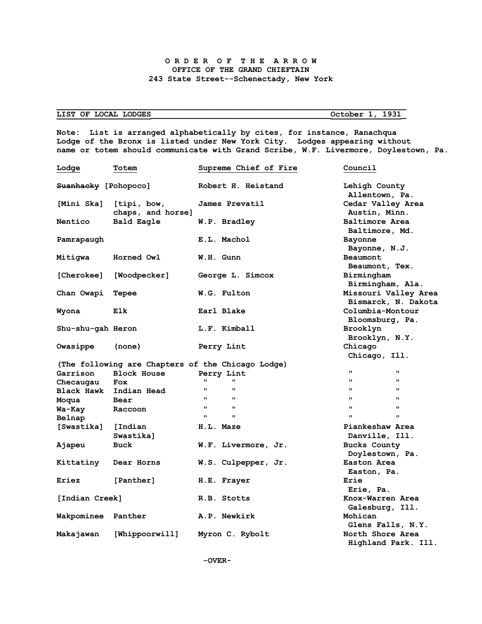## **O R D E R O F T H E A R R O W OFFICE OF THE GRAND CHIEFTAIN 243 State Street--Schenectady, New York**

**\_\_\_\_\_\_\_\_\_\_\_\_\_\_\_\_\_\_\_\_\_\_\_\_\_\_\_\_\_\_\_\_\_\_\_\_\_\_\_\_\_\_\_\_\_\_\_\_\_\_\_\_\_\_\_\_\_\_\_\_\_\_\_\_\_\_\_\_\_\_\_\_\_\_**

## **LIST OF LOCAL LODGES\_\_\_\_\_\_\_\_\_\_\_\_\_\_\_\_\_\_\_\_\_\_\_\_\_\_\_\_\_\_\_\_\_\_\_\_\_\_October 1, 1931\_**

**Note: List is arranged alphabetically by cites, for instance, Ranachqua Lodge of the Bronx is listed under New York City. Lodges appearing without name or totem should communicate with Grand Scribe, W.F. Livermore, Doylestown, Pa.**

| Lodge                | Totem                            | Supreme Chief of Fire                             | Council                            |
|----------------------|----------------------------------|---------------------------------------------------|------------------------------------|
| Suanhacky [Pohopoco] |                                  | Robert H. Heistand                                | Lehigh County                      |
|                      |                                  |                                                   | Allentown, Pa.                     |
| [Mini Ska]           | [tipi, bow,<br>chaps, and horse] | James Prevatil                                    | Cedar Valley Area<br>Austin, Minn. |
| Nentico              | Bald Eagle                       | W.P. Bradley                                      | Baltimore Area                     |
|                      |                                  |                                                   | Baltimore, Md.                     |
| Pamrapaugh           |                                  | E.L. Machol                                       | Bayonne                            |
|                      |                                  |                                                   | Bayonne, N.J.                      |
| Mitiqwa              | Horned Owl                       | W.H. Gunn                                         | Beaumont                           |
|                      |                                  |                                                   | Beaumont, Tex.                     |
| [Cherokee]           | [Woodpecker]                     | George L. Simcox                                  | Birmingham                         |
|                      |                                  |                                                   | Birmingham, Ala.                   |
| Chan Owapi           | Tepee                            | W.G. Fulton                                       | Missouri Valley Area               |
|                      |                                  |                                                   | Bismarck, N. Dakota                |
| Wyona                | Elk                              | Earl Blake                                        | Columbia-Montour                   |
|                      |                                  |                                                   | Bloomsburg, Pa.                    |
| Shu-shu-gah Heron    |                                  | L.F. Kimball                                      | Brooklyn                           |
|                      |                                  |                                                   | Brooklyn, N.Y.                     |
| Owasippe             | (none)                           | Perry Lint                                        | Chicago                            |
|                      |                                  |                                                   | Chicago, Ill.                      |
|                      |                                  | (The following are Chapters of the Chicago Lodge) |                                    |
| Garrison             | <b>Block House</b>               | Perry Lint                                        | $\mathbf{H}$<br>$\pmb{\mathsf{H}}$ |
| Checaugau            | <b>Fox</b>                       | 11<br>$\mathbf{H}$                                | $\mathbf{H}$<br>$\mathbf{H}$       |
|                      | Black Hawk Indian Head           | $\mathbf{H}$<br>$\mathbf{H}$                      | $\mathbf{H}$<br>$\mathbf{H}$       |
| Moqua                | Bear                             | $\mathbf{H}$<br>$\mathbf{H}$                      | $\mathbf{H}$<br>$\mathbf{H}$       |
| Wa-Kay               | Raccoon                          | $\mathbf{H}$<br>$\mathbf{H}$                      | $\mathbf{H}$<br>$\mathbf{H}$       |
| Belnap               |                                  | $\mathbf{H}$<br>$\mathbf{H}$                      | $\mathbf{H}$<br>$\mathbf{H}$       |
| [Swastika]           | [Indian                          | H.L. Maze                                         | Piankeshaw Area                    |
|                      | Swastika]                        |                                                   | Danville, Ill.                     |
| Ajapeu               | Buck                             | W.F. Livermore, Jr.                               | <b>Bucks County</b>                |
|                      |                                  |                                                   | Doylestown, Pa.                    |
| Kittatiny            | Dear Horns                       | W.S. Culpepper, Jr.                               | Easton Area                        |
|                      |                                  |                                                   | Easton, Pa.                        |
| Eriez                | [Panther]                        | H.E. Frayer                                       | Erie                               |
|                      |                                  |                                                   | Erie, Pa.                          |
| [Indian Creek]       |                                  | R.B. Stotts                                       | Knox-Warren Area                   |
|                      |                                  |                                                   | Galesburg, Ill.                    |
|                      |                                  | A.P. Newkirk                                      | Mohican                            |
| Wakpominee Panther   |                                  |                                                   | Glens Falls, N.Y.                  |
|                      |                                  |                                                   |                                    |
| Makajawan            | [Whippoorwill]                   | Myron C. Rybolt                                   | North Shore Area                   |
|                      |                                  |                                                   | Highland Park. Ill.                |